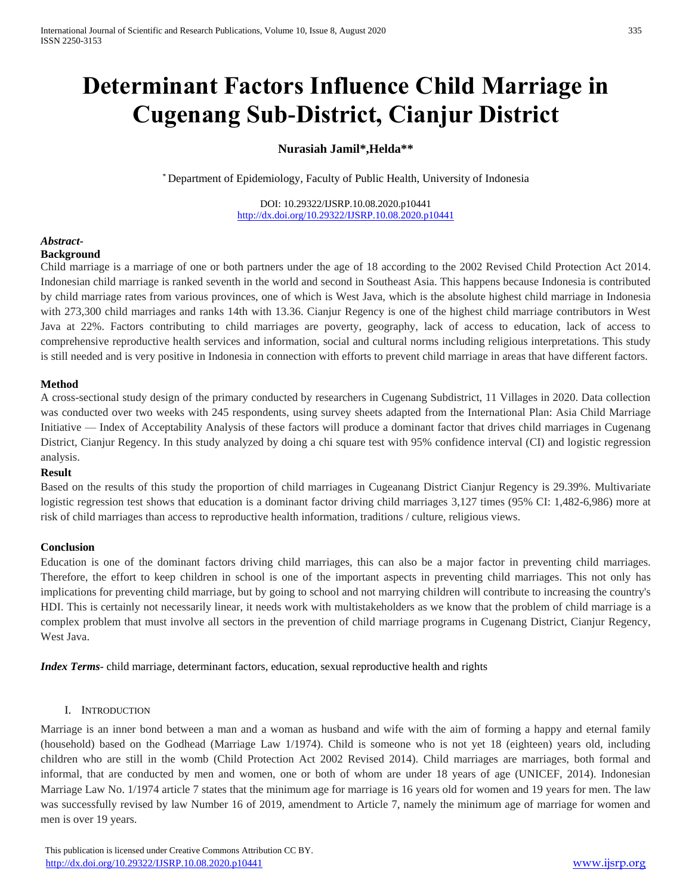# **Determinant Factors Influence Child Marriage in Cugenang Sub-District, Cianjur District**

## **Nurasiah Jamil\*,Helda\*\***

\* Department of Epidemiology, Faculty of Public Health, University of Indonesia

DOI: 10.29322/IJSRP.10.08.2020.p10441 <http://dx.doi.org/10.29322/IJSRP.10.08.2020.p10441>

#### *Abstract***-Background**

Child marriage is a marriage of one or both partners under the age of 18 according to the 2002 Revised Child Protection Act 2014. Indonesian child marriage is ranked seventh in the world and second in Southeast Asia. This happens because Indonesia is contributed by child marriage rates from various provinces, one of which is West Java, which is the absolute highest child marriage in Indonesia with 273,300 child marriages and ranks 14th with 13.36. Cianjur Regency is one of the highest child marriage contributors in West Java at 22%. Factors contributing to child marriages are poverty, geography, lack of access to education, lack of access to comprehensive reproductive health services and information, social and cultural norms including religious interpretations. This study is still needed and is very positive in Indonesia in connection with efforts to prevent child marriage in areas that have different factors.

## **Method**

A cross-sectional study design of the primary conducted by researchers in Cugenang Subdistrict, 11 Villages in 2020. Data collection was conducted over two weeks with 245 respondents, using survey sheets adapted from the International Plan: Asia Child Marriage Initiative — Index of Acceptability Analysis of these factors will produce a dominant factor that drives child marriages in Cugenang District, Cianjur Regency. In this study analyzed by doing a chi square test with 95% confidence interval (CI) and logistic regression analysis.

## **Result**

Based on the results of this study the proportion of child marriages in Cugeanang District Cianjur Regency is 29.39%. Multivariate logistic regression test shows that education is a dominant factor driving child marriages 3,127 times (95% CI: 1,482-6,986) more at risk of child marriages than access to reproductive health information, traditions / culture, religious views.

## **Conclusion**

Education is one of the dominant factors driving child marriages, this can also be a major factor in preventing child marriages. Therefore, the effort to keep children in school is one of the important aspects in preventing child marriages. This not only has implications for preventing child marriage, but by going to school and not marrying children will contribute to increasing the country's HDI. This is certainly not necessarily linear, it needs work with multistakeholders as we know that the problem of child marriage is a complex problem that must involve all sectors in the prevention of child marriage programs in Cugenang District, Cianjur Regency, West Java.

*Index Terms*- child marriage, determinant factors, education, sexual reproductive health and rights

## I. INTRODUCTION

Marriage is an inner bond between a man and a woman as husband and wife with the aim of forming a happy and eternal family (household) based on the Godhead (Marriage Law 1/1974). Child is someone who is not yet 18 (eighteen) years old, including children who are still in the womb (Child Protection Act 2002 Revised 2014). Child marriages are marriages, both formal and informal, that are conducted by men and women, one or both of whom are under 18 years of age (UNICEF, 2014). Indonesian Marriage Law No. 1/1974 article 7 states that the minimum age for marriage is 16 years old for women and 19 years for men. The law was successfully revised by law Number 16 of 2019, amendment to Article 7, namely the minimum age of marriage for women and men is over 19 years.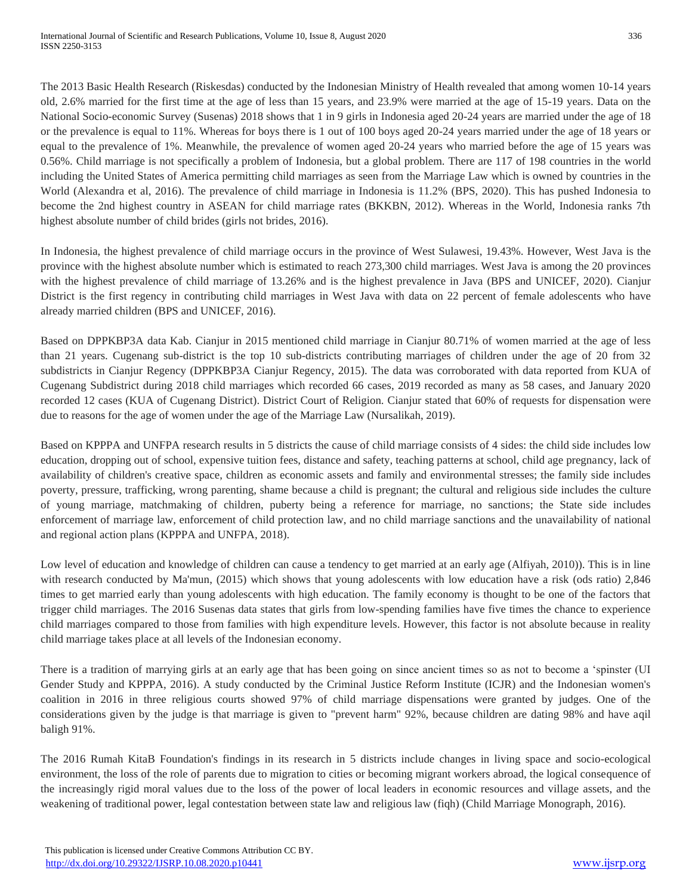The 2013 Basic Health Research (Riskesdas) conducted by the Indonesian Ministry of Health revealed that among women 10-14 years old, 2.6% married for the first time at the age of less than 15 years, and 23.9% were married at the age of 15-19 years. Data on the National Socio-economic Survey (Susenas) 2018 shows that 1 in 9 girls in Indonesia aged 20-24 years are married under the age of 18 or the prevalence is equal to 11%. Whereas for boys there is 1 out of 100 boys aged 20-24 years married under the age of 18 years or equal to the prevalence of 1%. Meanwhile, the prevalence of women aged 20-24 years who married before the age of 15 years was 0.56%. Child marriage is not specifically a problem of Indonesia, but a global problem. There are 117 of 198 countries in the world including the United States of America permitting child marriages as seen from the Marriage Law which is owned by countries in the World (Alexandra et al, 2016). The prevalence of child marriage in Indonesia is 11.2% (BPS, 2020). This has pushed Indonesia to become the 2nd highest country in ASEAN for child marriage rates (BKKBN, 2012). Whereas in the World, Indonesia ranks 7th highest absolute number of child brides (girls not brides, 2016).

In Indonesia, the highest prevalence of child marriage occurs in the province of West Sulawesi, 19.43%. However, West Java is the province with the highest absolute number which is estimated to reach 273,300 child marriages. West Java is among the 20 provinces with the highest prevalence of child marriage of 13.26% and is the highest prevalence in Java (BPS and UNICEF, 2020). Cianjur District is the first regency in contributing child marriages in West Java with data on 22 percent of female adolescents who have already married children (BPS and UNICEF, 2016).

Based on DPPKBP3A data Kab. Cianjur in 2015 mentioned child marriage in Cianjur 80.71% of women married at the age of less than 21 years. Cugenang sub-district is the top 10 sub-districts contributing marriages of children under the age of 20 from 32 subdistricts in Cianjur Regency (DPPKBP3A Cianjur Regency, 2015). The data was corroborated with data reported from KUA of Cugenang Subdistrict during 2018 child marriages which recorded 66 cases, 2019 recorded as many as 58 cases, and January 2020 recorded 12 cases (KUA of Cugenang District). District Court of Religion. Cianjur stated that 60% of requests for dispensation were due to reasons for the age of women under the age of the Marriage Law (Nursalikah, 2019).

Based on KPPPA and UNFPA research results in 5 districts the cause of child marriage consists of 4 sides: the child side includes low education, dropping out of school, expensive tuition fees, distance and safety, teaching patterns at school, child age pregnancy, lack of availability of children's creative space, children as economic assets and family and environmental stresses; the family side includes poverty, pressure, trafficking, wrong parenting, shame because a child is pregnant; the cultural and religious side includes the culture of young marriage, matchmaking of children, puberty being a reference for marriage, no sanctions; the State side includes enforcement of marriage law, enforcement of child protection law, and no child marriage sanctions and the unavailability of national and regional action plans (KPPPA and UNFPA, 2018).

Low level of education and knowledge of children can cause a tendency to get married at an early age (Alfiyah, 2010)). This is in line with research conducted by Ma'mun, (2015) which shows that young adolescents with low education have a risk (ods ratio) 2,846 times to get married early than young adolescents with high education. The family economy is thought to be one of the factors that trigger child marriages. The 2016 Susenas data states that girls from low-spending families have five times the chance to experience child marriages compared to those from families with high expenditure levels. However, this factor is not absolute because in reality child marriage takes place at all levels of the Indonesian economy.

There is a tradition of marrying girls at an early age that has been going on since ancient times so as not to become a 'spinster (UI Gender Study and KPPPA, 2016). A study conducted by the Criminal Justice Reform Institute (ICJR) and the Indonesian women's coalition in 2016 in three religious courts showed 97% of child marriage dispensations were granted by judges. One of the considerations given by the judge is that marriage is given to "prevent harm" 92%, because children are dating 98% and have aqil baligh 91%.

The 2016 Rumah KitaB Foundation's findings in its research in 5 districts include changes in living space and socio-ecological environment, the loss of the role of parents due to migration to cities or becoming migrant workers abroad, the logical consequence of the increasingly rigid moral values due to the loss of the power of local leaders in economic resources and village assets, and the weakening of traditional power, legal contestation between state law and religious law (fiqh) (Child Marriage Monograph, 2016).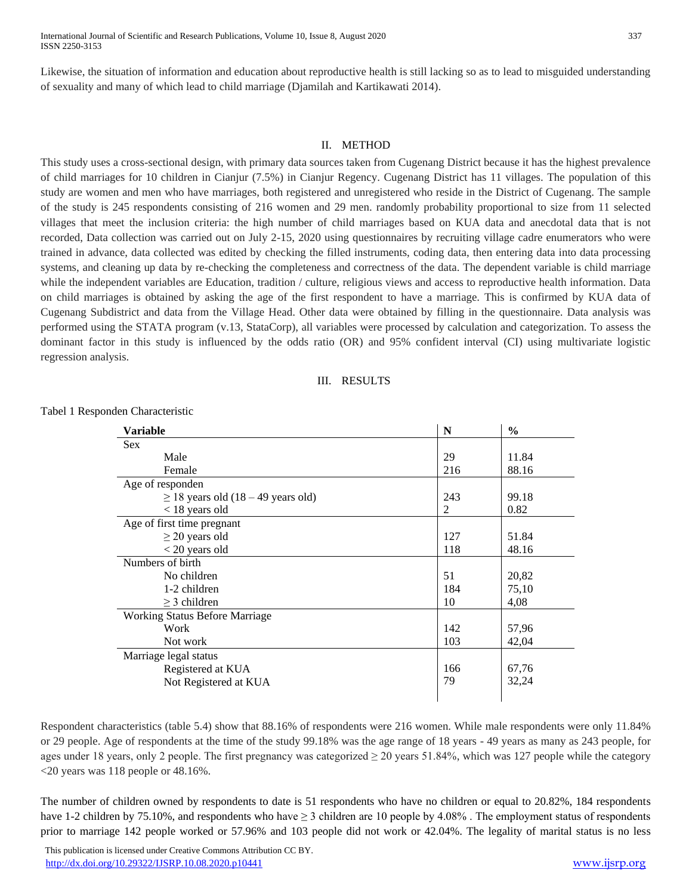Likewise, the situation of information and education about reproductive health is still lacking so as to lead to misguided understanding of sexuality and many of which lead to child marriage (Djamilah and Kartikawati 2014).

#### II. METHOD

This study uses a cross-sectional design, with primary data sources taken from Cugenang District because it has the highest prevalence of child marriages for 10 children in Cianjur (7.5%) in Cianjur Regency. Cugenang District has 11 villages. The population of this study are women and men who have marriages, both registered and unregistered who reside in the District of Cugenang. The sample of the study is 245 respondents consisting of 216 women and 29 men. randomly probability proportional to size from 11 selected villages that meet the inclusion criteria: the high number of child marriages based on KUA data and anecdotal data that is not recorded, Data collection was carried out on July 2-15, 2020 using questionnaires by recruiting village cadre enumerators who were trained in advance, data collected was edited by checking the filled instruments, coding data, then entering data into data processing systems, and cleaning up data by re-checking the completeness and correctness of the data. The dependent variable is child marriage while the independent variables are Education, tradition / culture, religious views and access to reproductive health information. Data on child marriages is obtained by asking the age of the first respondent to have a marriage. This is confirmed by KUA data of Cugenang Subdistrict and data from the Village Head. Other data were obtained by filling in the questionnaire. Data analysis was performed using the STATA program (v.13, StataCorp), all variables were processed by calculation and categorization. To assess the dominant factor in this study is influenced by the odds ratio (OR) and 95% confident interval (CI) using multivariate logistic regression analysis.

#### III. RESULTS

| Variable                                | N   | $\frac{0}{0}$ |
|-----------------------------------------|-----|---------------|
| Sex                                     |     |               |
| Male                                    | 29  | 11.84         |
| Female                                  | 216 | 88.16         |
| Age of responden                        |     |               |
| $\geq$ 18 years old (18 – 49 years old) | 243 | 99.18         |
| $<$ 18 years old                        | 2   | 0.82          |
| Age of first time pregnant              |     |               |
| $\geq$ 20 years old                     | 127 | 51.84         |
| $<$ 20 years old                        | 118 | 48.16         |
| Numbers of birth                        |     |               |
| No children                             | 51  | 20,82         |
| 1-2 children                            | 184 | 75,10         |
| $\geq$ 3 children                       | 10  | 4,08          |
| <b>Working Status Before Marriage</b>   |     |               |
| Work                                    | 142 | 57,96         |
| Not work                                | 103 | 42,04         |
| Marriage legal status                   |     |               |
| Registered at KUA                       | 166 | 67,76         |
| Not Registered at KUA                   | 79  | 32,24         |
|                                         |     |               |

Tabel 1 Responden Characteristic

Respondent characteristics (table 5.4) show that 88.16% of respondents were 216 women. While male respondents were only 11.84% or 29 people. Age of respondents at the time of the study 99.18% was the age range of 18 years - 49 years as many as 243 people, for ages under 18 years, only 2 people. The first pregnancy was categorized  $\geq$  20 years 51.84%, which was 127 people while the category <20 years was 118 people or 48.16%.

The number of children owned by respondents to date is 51 respondents who have no children or equal to 20.82%, 184 respondents have 1-2 children by 75.10%, and respondents who have  $\geq$  3 children are 10 people by 4.08%. The employment status of respondents prior to marriage 142 people worked or 57.96% and 103 people did not work or 42.04%. The legality of marital status is no less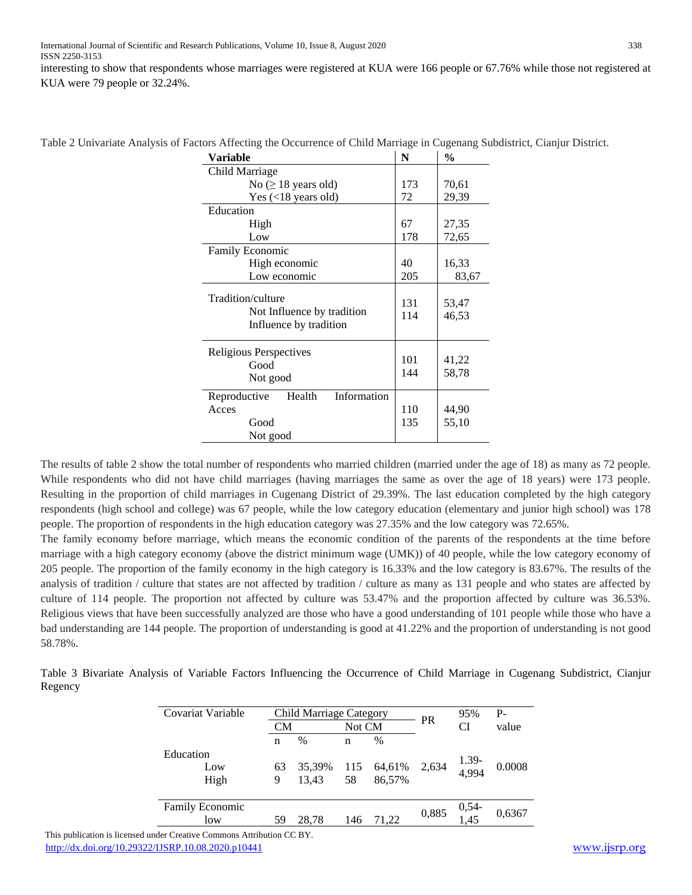interesting to show that respondents whose marriages were registered at KUA were 166 people or 67.76% while those not registered at KUA were 79 people or 32.24%.

| Variable                                                                  | N          | $\frac{0}{0}$  |
|---------------------------------------------------------------------------|------------|----------------|
| Child Marriage                                                            |            |                |
| $No \geq 18$ years old)                                                   | 173        | 70,61          |
| Yes $(<18$ years old)                                                     | 72         | 29,39          |
| Education                                                                 |            |                |
| High                                                                      | 67         | 27,35          |
| Low                                                                       | 178        | 72,65          |
| <b>Family Economic</b>                                                    |            |                |
| High economic                                                             | 40         | 16,33          |
| Low economic                                                              | 205        | 83,67          |
| Tradition/culture<br>Not Influence by tradition<br>Influence by tradition | 131<br>114 | 53,47<br>46,53 |
| Religious Perspectives<br>Good<br>Not good                                | 101<br>144 | 41,22<br>58,78 |
| Information<br>Health<br>Reproductive<br>Acces<br>Good<br>Not good        | 110<br>135 | 44,90<br>55,10 |

Table 2 Univariate Analysis of Factors Affecting the Occurrence of Child Marriage in Cugenang Subdistrict, Cianjur District.

The results of table 2 show the total number of respondents who married children (married under the age of 18) as many as 72 people. While respondents who did not have child marriages (having marriages the same as over the age of 18 years) were 173 people. Resulting in the proportion of child marriages in Cugenang District of 29.39%. The last education completed by the high category respondents (high school and college) was 67 people, while the low category education (elementary and junior high school) was 178 people. The proportion of respondents in the high education category was 27.35% and the low category was 72.65%.

The family economy before marriage, which means the economic condition of the parents of the respondents at the time before marriage with a high category economy (above the district minimum wage (UMK)) of 40 people, while the low category economy of 205 people. The proportion of the family economy in the high category is 16.33% and the low category is 83.67%. The results of the analysis of tradition / culture that states are not affected by tradition / culture as many as 131 people and who states are affected by culture of 114 people. The proportion not affected by culture was 53.47% and the proportion affected by culture was 36.53%. Religious views that have been successfully analyzed are those who have a good understanding of 101 people while those who have a bad understanding are 144 people. The proportion of understanding is good at 41.22% and the proportion of understanding is not good 58.78%.

Table 3 Bivariate Analysis of Variable Factors Influencing the Occurrence of Child Marriage in Cugenang Subdistrict, Cianjur Regency

| Covariat Variable             |           | <b>Child Marriage Category</b> |           |                  |           | 95%            | $P -$  |
|-------------------------------|-----------|--------------------------------|-----------|------------------|-----------|----------------|--------|
|                               | <b>CM</b> |                                | Not CM    |                  | <b>PR</b> | <b>CI</b>      | value  |
|                               | n         | $\%$                           | n         | $\%$             |           |                |        |
| Education<br>Low<br>High      | 63<br>9   | 35,39%<br>13.43                | 115<br>58 | 64,61%<br>86.57% | 2,634     | 1.39-<br>4,994 | 0.0008 |
| <b>Family Economic</b><br>low | 59        | 28.78                          | 146       | 71.22            | 0,885     | $0,54-1,45$    | 0,6367 |

 This publication is licensed under Creative Commons Attribution CC BY. <http://dx.doi.org/10.29322/IJSRP.10.08.2020.p10441> [www.ijsrp.org](http://ijsrp.org/)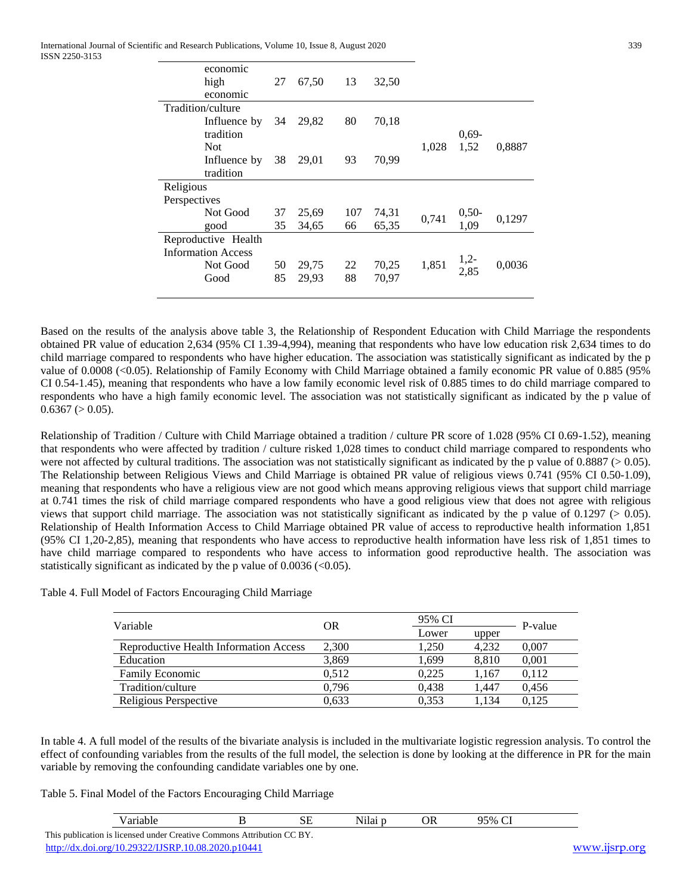International Journal of Scientific and Research Publications, Volume 10, Issue 8, August 2020 339 ISSN 2250-3153

| economic                  |    |       |     |       |       |          |        |
|---------------------------|----|-------|-----|-------|-------|----------|--------|
| high                      | 27 | 67,50 | 13  | 32,50 |       |          |        |
| economic                  |    |       |     |       |       |          |        |
| Tradition/culture         |    |       |     |       |       |          |        |
| Influence by              | 34 | 29,82 | 80  | 70,18 |       |          |        |
| tradition                 |    |       |     |       |       | $0.69 -$ |        |
| <b>Not</b>                |    |       |     |       | 1,028 | 1,52     | 0,8887 |
| Influence by              | 38 | 29,01 | 93  | 70,99 |       |          |        |
| tradition                 |    |       |     |       |       |          |        |
| Religious                 |    |       |     |       |       |          |        |
| Perspectives              |    |       |     |       |       |          |        |
| Not Good                  | 37 | 25,69 | 107 | 74,31 | 0,741 | $0,50-$  |        |
| good                      | 35 | 34,65 | 66  | 65,35 |       | 1,09     | 0,1297 |
| Reproductive Health       |    |       |     |       |       |          |        |
| <b>Information Access</b> |    |       |     |       |       |          |        |
| Not Good                  | 50 | 29,75 | 22  | 70,25 | 1,851 | $1,2-$   | 0,0036 |
| Good                      | 85 | 29,93 | 88  | 70,97 |       | 2,85     |        |
|                           |    |       |     |       |       |          |        |

Based on the results of the analysis above table 3, the Relationship of Respondent Education with Child Marriage the respondents obtained PR value of education 2,634 (95% CI 1.39-4,994), meaning that respondents who have low education risk 2,634 times to do child marriage compared to respondents who have higher education. The association was statistically significant as indicated by the p value of 0.0008 (<0.05). Relationship of Family Economy with Child Marriage obtained a family economic PR value of 0.885 (95% CI 0.54-1.45), meaning that respondents who have a low family economic level risk of 0.885 times to do child marriage compared to respondents who have a high family economic level. The association was not statistically significant as indicated by the p value of  $0.6367$  ( $> 0.05$ ).

Relationship of Tradition / Culture with Child Marriage obtained a tradition / culture PR score of 1.028 (95% CI 0.69-1.52), meaning that respondents who were affected by tradition / culture risked 1,028 times to conduct child marriage compared to respondents who were not affected by cultural traditions. The association was not statistically significant as indicated by the p value of  $0.8887 (> 0.05)$ . The Relationship between Religious Views and Child Marriage is obtained PR value of religious views 0.741 (95% CI 0.50-1.09), meaning that respondents who have a religious view are not good which means approving religious views that support child marriage at 0.741 times the risk of child marriage compared respondents who have a good religious view that does not agree with religious views that support child marriage. The association was not statistically significant as indicated by the p value of  $0.1297$  ( $> 0.05$ ). Relationship of Health Information Access to Child Marriage obtained PR value of access to reproductive health information 1,851 (95% CI 1,20-2,85), meaning that respondents who have access to reproductive health information have less risk of 1,851 times to have child marriage compared to respondents who have access to information good reproductive health. The association was statistically significant as indicated by the p value of  $0.0036 \, \text{(}<\!\!0.05\text{)}.$ 

|  |  | Table 4. Full Model of Factors Encouraging Child Marriage |  |
|--|--|-----------------------------------------------------------|--|
|  |  |                                                           |  |

| Variable                               | <b>OR</b> | 95% CI |       |         |  |
|----------------------------------------|-----------|--------|-------|---------|--|
|                                        |           | Lower  | upper | P-value |  |
| Reproductive Health Information Access | 2,300     | 1.250  | 4.232 | 0,007   |  |
| Education                              | 3.869     | 1.699  | 8.810 | 0,001   |  |
| <b>Family Economic</b>                 | 0.512     | 0.225  | 1.167 | 0.112   |  |
| Tradition/culture                      | 0.796     | 0.438  | 1.447 | 0.456   |  |
| Religious Perspective                  | 0.633     | 0.353  | 1.134 | 0.125   |  |

In table 4. A full model of the results of the bivariate analysis is included in the multivariate logistic regression analysis. To control the effect of confounding variables from the results of the full model, the selection is done by looking at the difference in PR for the main variable by removing the confounding candidate variables one by one.

Table 5. Final Model of the Factors Encouraging Child Marriage

| `′ariable.                                                             | ىس | Nılaı | ЭR | $95\% C^{r}$ |               |
|------------------------------------------------------------------------|----|-------|----|--------------|---------------|
| This publication is licensed under Creative Commons Attribution CC BY. |    |       |    |              |               |
| http://dx.doi.org/10.29322/IJSRP.10.08.2020.p10441                     |    |       |    |              | www.11srp.org |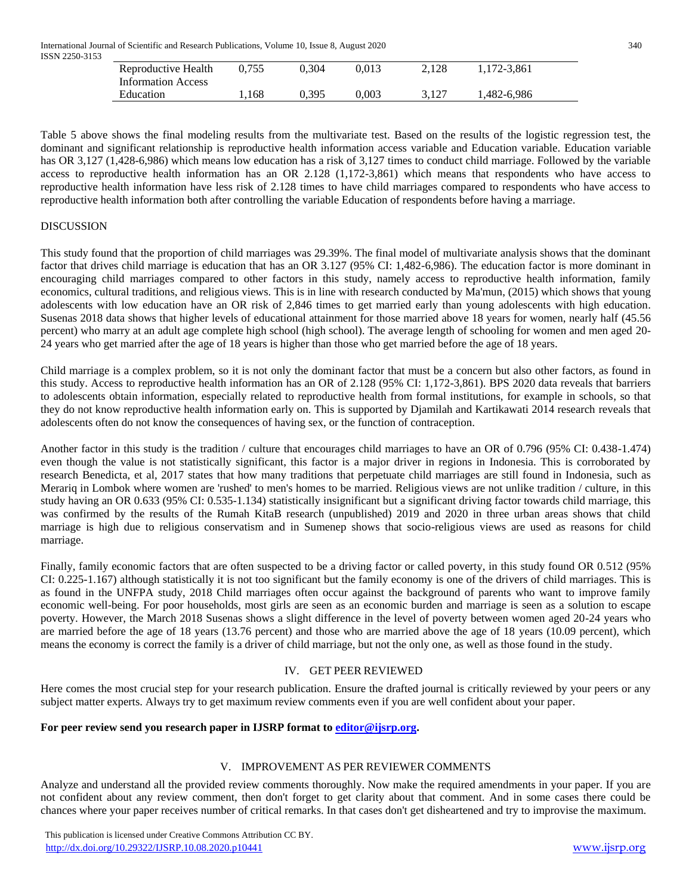| Reproductive Health       | 0.755 | 0.304 | 0.013 | 2.128 | 1.172-3.861 |  |
|---------------------------|-------|-------|-------|-------|-------------|--|
| <b>Information Access</b> |       |       |       |       |             |  |
| Education                 | .168  | 0.395 | 9.003 | 3.127 | 1,482-6,986 |  |

Table 5 above shows the final modeling results from the multivariate test. Based on the results of the logistic regression test, the dominant and significant relationship is reproductive health information access variable and Education variable. Education variable has OR 3,127 (1,428-6,986) which means low education has a risk of 3,127 times to conduct child marriage. Followed by the variable access to reproductive health information has an OR 2.128 (1,172-3,861) which means that respondents who have access to reproductive health information have less risk of 2.128 times to have child marriages compared to respondents who have access to reproductive health information both after controlling the variable Education of respondents before having a marriage.

### DISCUSSION

This study found that the proportion of child marriages was 29.39%. The final model of multivariate analysis shows that the dominant factor that drives child marriage is education that has an OR 3.127 (95% CI: 1,482-6,986). The education factor is more dominant in encouraging child marriages compared to other factors in this study, namely access to reproductive health information, family economics, cultural traditions, and religious views. This is in line with research conducted by Ma'mun, (2015) which shows that young adolescents with low education have an OR risk of 2,846 times to get married early than young adolescents with high education. Susenas 2018 data shows that higher levels of educational attainment for those married above 18 years for women, nearly half (45.56 percent) who marry at an adult age complete high school (high school). The average length of schooling for women and men aged 20- 24 years who get married after the age of 18 years is higher than those who get married before the age of 18 years.

Child marriage is a complex problem, so it is not only the dominant factor that must be a concern but also other factors, as found in this study. Access to reproductive health information has an OR of 2.128 (95% CI: 1,172-3,861). BPS 2020 data reveals that barriers to adolescents obtain information, especially related to reproductive health from formal institutions, for example in schools, so that they do not know reproductive health information early on. This is supported by Djamilah and Kartikawati 2014 research reveals that adolescents often do not know the consequences of having sex, or the function of contraception.

Another factor in this study is the tradition / culture that encourages child marriages to have an OR of 0.796 (95% CI: 0.438-1.474) even though the value is not statistically significant, this factor is a major driver in regions in Indonesia. This is corroborated by research Benedicta, et al, 2017 states that how many traditions that perpetuate child marriages are still found in Indonesia, such as Merariq in Lombok where women are 'rushed' to men's homes to be married. Religious views are not unlike tradition / culture, in this study having an OR 0.633 (95% CI: 0.535-1.134) statistically insignificant but a significant driving factor towards child marriage, this was confirmed by the results of the Rumah KitaB research (unpublished) 2019 and 2020 in three urban areas shows that child marriage is high due to religious conservatism and in Sumenep shows that socio-religious views are used as reasons for child marriage.

Finally, family economic factors that are often suspected to be a driving factor or called poverty, in this study found OR 0.512 (95%) CI: 0.225-1.167) although statistically it is not too significant but the family economy is one of the drivers of child marriages. This is as found in the UNFPA study, 2018 Child marriages often occur against the background of parents who want to improve family economic well-being. For poor households, most girls are seen as an economic burden and marriage is seen as a solution to escape poverty. However, the March 2018 Susenas shows a slight difference in the level of poverty between women aged 20-24 years who are married before the age of 18 years (13.76 percent) and those who are married above the age of 18 years (10.09 percent), which means the economy is correct the family is a driver of child marriage, but not the only one, as well as those found in the study.

## IV. GET PEER REVIEWED

Here comes the most crucial step for your research publication. Ensure the drafted journal is critically reviewed by your peers or any subject matter experts. Always try to get maximum review comments even if you are well confident about your paper.

#### **For peer review send you research paper in IJSRP format to [editor@ijsrp.org.](mailto:editor@ijsrp.org)**

#### V. IMPROVEMENT AS PER REVIEWER COMMENTS

Analyze and understand all the provided review comments thoroughly. Now make the required amendments in your paper. If you are not confident about any review comment, then don't forget to get clarity about that comment. And in some cases there could be chances where your paper receives number of critical remarks. In that cases don't get disheartened and try to improvise the maximum.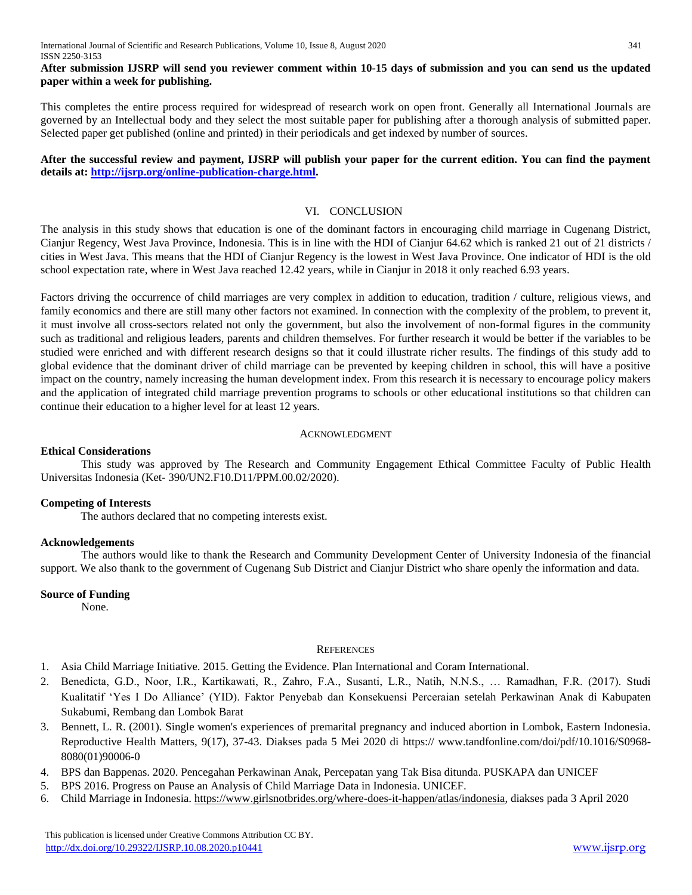## **After submission IJSRP will send you reviewer comment within 10-15 days of submission and you can send us the updated paper within a week for publishing.**

This completes the entire process required for widespread of research work on open front. Generally all International Journals are governed by an Intellectual body and they select the most suitable paper for publishing after a thorough analysis of submitted paper. Selected paper get published (online and printed) in their periodicals and get indexed by number of sources.

## **After the successful review and payment, IJSRP will publish your paper for the current edition. You can find the payment details at: [http://ijsrp.org/online-publication-charge.html.](http://ijsrp.org/online-publication-charge.html)**

## VI. CONCLUSION

The analysis in this study shows that education is one of the dominant factors in encouraging child marriage in Cugenang District, Cianjur Regency, West Java Province, Indonesia. This is in line with the HDI of Cianjur 64.62 which is ranked 21 out of 21 districts / cities in West Java. This means that the HDI of Cianjur Regency is the lowest in West Java Province. One indicator of HDI is the old school expectation rate, where in West Java reached 12.42 years, while in Cianjur in 2018 it only reached 6.93 years.

Factors driving the occurrence of child marriages are very complex in addition to education, tradition / culture, religious views, and family economics and there are still many other factors not examined. In connection with the complexity of the problem, to prevent it, it must involve all cross-sectors related not only the government, but also the involvement of non-formal figures in the community such as traditional and religious leaders, parents and children themselves. For further research it would be better if the variables to be studied were enriched and with different research designs so that it could illustrate richer results. The findings of this study add to global evidence that the dominant driver of child marriage can be prevented by keeping children in school, this will have a positive impact on the country, namely increasing the human development index. From this research it is necessary to encourage policy makers and the application of integrated child marriage prevention programs to schools or other educational institutions so that children can continue their education to a higher level for at least 12 years.

#### ACKNOWLEDGMENT

## **Ethical Considerations**

This study was approved by The Research and Community Engagement Ethical Committee Faculty of Public Health Universitas Indonesia (Ket- 390/UN2.F10.D11/PPM.00.02/2020).

#### **Competing of Interests**

The authors declared that no competing interests exist.

#### **Acknowledgements**

The authors would like to thank the Research and Community Development Center of University Indonesia of the financial support. We also thank to the government of Cugenang Sub District and Cianjur District who share openly the information and data.

#### **Source of Funding**

None.

#### **REFERENCES**

- 1. Asia Child Marriage Initiative. 2015. Getting the Evidence. Plan International and Coram International.
- 2. Benedicta, G.D., Noor, I.R., Kartikawati, R., Zahro, F.A., Susanti, L.R., Natih, N.N.S., … Ramadhan, F.R. (2017). Studi Kualitatif 'Yes I Do Alliance' (YID). Faktor Penyebab dan Konsekuensi Perceraian setelah Perkawinan Anak di Kabupaten Sukabumi, Rembang dan Lombok Barat
- 3. Bennett, L. R. (2001). Single women's experiences of premarital pregnancy and induced abortion in Lombok, Eastern Indonesia. Reproductive Health Matters, 9(17), 37-43. Diakses pada 5 Mei 2020 di https:// www.tandfonline.com/doi/pdf/10.1016/S0968- 8080(01)90006-0
- 4. BPS dan Bappenas. 2020. Pencegahan Perkawinan Anak, Percepatan yang Tak Bisa ditunda. PUSKAPA dan UNICEF
- 5. BPS 2016. Progress on Pause an Analysis of Child Marriage Data in Indonesia. UNICEF.
- 6. Child Marriage in Indonesia. [https://www.girlsnotbrides.org/where-does-it-happen/atlas/indonesia,](https://www.girlsnotbrides.org/where-does-it-happen/atlas/indonesia) diakses pada 3 April 2020